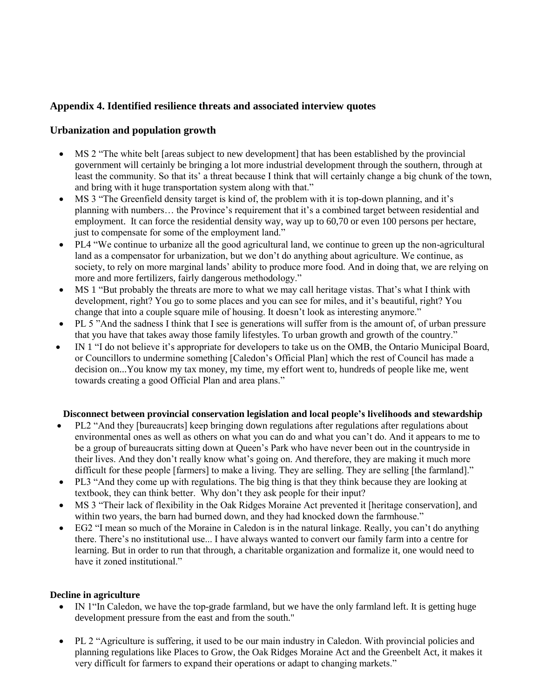# **Appendix 4. Identified resilience threats and associated interview quotes**

# **Urbanization and population growth**

- MS 2 "The white belt [areas subject to new development] that has been established by the provincial government will certainly be bringing a lot more industrial development through the southern, through at least the community. So that its' a threat because I think that will certainly change a big chunk of the town, and bring with it huge transportation system along with that."
- MS 3 "The Greenfield density target is kind of, the problem with it is top-down planning, and it's planning with numbers… the Province's requirement that it's a combined target between residential and employment. It can force the residential density way, way up to 60,70 or even 100 persons per hectare, just to compensate for some of the employment land."
- PL4 "We continue to urbanize all the good agricultural land, we continue to green up the non-agricultural land as a compensator for urbanization, but we don't do anything about agriculture. We continue, as society, to rely on more marginal lands' ability to produce more food. And in doing that, we are relying on more and more fertilizers, fairly dangerous methodology."
- MS 1 "But probably the threats are more to what we may call heritage vistas. That's what I think with development, right? You go to some places and you can see for miles, and it's beautiful, right? You change that into a couple square mile of housing. It doesn't look as interesting anymore."
- PL 5 "And the sadness I think that I see is generations will suffer from is the amount of, of urban pressure that you have that takes away those family lifestyles. To urban growth and growth of the country."
- IN 1 "I do not believe it's appropriate for developers to take us on the OMB, the Ontario Municipal Board, or Councillors to undermine something [Caledon's Official Plan] which the rest of Council has made a decision on...You know my tax money, my time, my effort went to, hundreds of people like me, went towards creating a good Official Plan and area plans."

## **Disconnect between provincial conservation legislation and local people's livelihoods and stewardship**

- PL2 "And they [bureaucrats] keep bringing down regulations after regulations after regulations about environmental ones as well as others on what you can do and what you can't do. And it appears to me to be a group of bureaucrats sitting down at Queen's Park who have never been out in the countryside in their lives. And they don't really know what's going on. And therefore, they are making it much more difficult for these people [farmers] to make a living. They are selling. They are selling [the farmland]."
- PL3 "And they come up with regulations. The big thing is that they think because they are looking at textbook, they can think better. Why don't they ask people for their input?
- MS 3 "Their lack of flexibility in the Oak Ridges Moraine Act prevented it [heritage conservation], and within two years, the barn had burned down, and they had knocked down the farmhouse."
- EG2 "I mean so much of the Moraine in Caledon is in the natural linkage. Really, you can't do anything there. There's no institutional use... I have always wanted to convert our family farm into a centre for learning. But in order to run that through, a charitable organization and formalize it, one would need to have it zoned institutional."

#### **Decline in agriculture**

- IN 1"In Caledon, we have the top-grade farmland, but we have the only farmland left. It is getting huge development pressure from the east and from the south."
- PL 2 "Agriculture is suffering, it used to be our main industry in Caledon. With provincial policies and planning regulations like Places to Grow, the Oak Ridges Moraine Act and the Greenbelt Act, it makes it very difficult for farmers to expand their operations or adapt to changing markets."